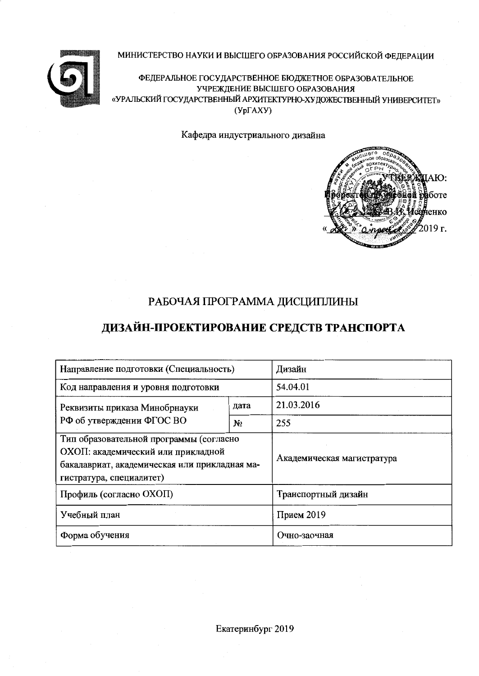### МИНИСТЕРСТВО НАУКИ И ВЫСШЕГО ОБРАЗОВАНИЯ РОССИЙСКОЙ ФЕДЕРАЦИИ



ФЕДЕРАЛЬНОЕ ГОСУДАРСТВЕННОЕ БЮДЖЕТНОЕ ОБРАЗОВАТЕЛЬНОЕ УЧРЕЖДЕНИЕ ВЫСШЕГО ОБРАЗОВАНИЯ «УРАЛЬСКИЙ ГОСУДАРСТВЕННЫЙ АРХИТЕКТУРНО-ХУДОЖЕСТВЕННЫЙ УНИВЕРСИТЕТ»  $(Yp\Gamma A XY)$ 

Кафедра индустриального дизайна



## РАБОЧАЯ ПРОГРАММА ДИСЦИПЛИНЫ

# ДИЗАЙН-ПРОЕКТИРОВАНИЕ СРЕДСТВ ТРАНСПОРТА

| Направление подготовки (Специальность)                                                                                                                     | Дизайн                     |                     |  |
|------------------------------------------------------------------------------------------------------------------------------------------------------------|----------------------------|---------------------|--|
| Код направления и уровня подготовки                                                                                                                        | 54.04.01                   |                     |  |
| Реквизиты приказа Минобрнауки                                                                                                                              | дата                       | 21.03.2016          |  |
| РФ об утверждении ФГОС ВО                                                                                                                                  | N <sub>2</sub>             | 255                 |  |
| Тип образовательной программы (согласно<br>ОХОП: академический или прикладной<br>бакалавриат, академическая или прикладная ма-<br>гистратура, специалитет) | Академическая магистратура |                     |  |
| Профиль (согласно ОХОП)                                                                                                                                    |                            | Транспортный дизайн |  |
| Учебный план                                                                                                                                               | Прием 2019                 |                     |  |
| Форма обучения                                                                                                                                             | Очно-заочная               |                     |  |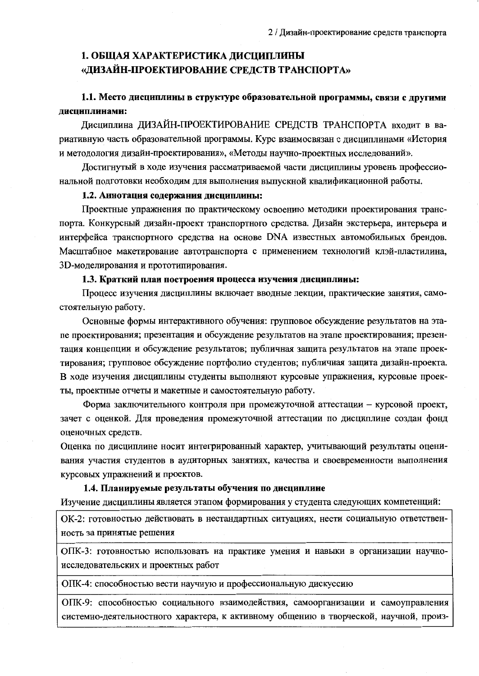## 1. ОБЩАЯ ХАРАКТЕРИСТИКА ДИСЦИПЛИНЫ «ДИЗАЙН-ПРОЕКТИРОВАНИЕ СРЕДСТВ ТРАНСПОРТА»

## 1.1. Место дисциплины в структуре образовательной программы, связи с другими лиспиплинами:

Дисциплина ДИЗАЙН-ПРОЕКТИРОВАНИЕ СРЕДСТВ ТРАНСПОРТА входит в вариативную часть образовательной программы. Курс взаимосвязан с дисциплинами «История и методология дизайн-проектирования», «Методы научно-проектных исследований».

Достигнутый в ходе изучения рассматриваемой части дисциплины уровень профессиональной подготовки необходим для выполнения выпускной квалификационной работы.

#### 1.2. Аннотация содержания дисциплины:

Проектные упражнения по практическому освоению методики проектирования транспорта. Конкурсный дизайн-проект транспортного средства. Дизайн экстерьера, интерьера и интерфейса транспортного средства на основе DNA известных автомобильных брендов. Масштабное макетирование автотранспорта с применением технологий клэй-пластилина, 3D-моделирования и прототипирования.

#### 1.3. Краткий план построения процесса изучения дисциплины:

Процесс изучения дисциплины включает вводные лекции, практические занятия, самостоятельную работу.

Основные формы интерактивного обучения: групповое обсуждение результатов на этапе проектирования; презентация и обсуждение результатов на этапе проектирования; презентация концепции и обсуждение результатов; публичная защита результатов на этапе проектирования; групповое обсуждение портфолио студентов; публичная защита дизайн-проекта. В ходе изучения дисциплины студенты выполняют курсовые упражнения, курсовые проекты, проектные отчеты и макетные и самостоятельную работу.

Форма заключительного контроля при промежуточной аттестации - курсовой проект, зачет с оценкой. Для проведения промежуточной аттестации по дисциплине создан фонд оценочных средств.

Оценка по дисциплине носит интегрированный характер, учитывающий результаты оценивания участия студентов в аудиторных занятиях, качества и своевременности выполнения курсовых упражнений и проектов.

### 1.4. Планируемые результаты обучения по дисциплине

Изучение дисциплины является этапом формирования у студента следующих компетенций:

ОК-2: готовностью действовать в нестандартных ситуациях, нести социальную ответственность за принятые решения

ОПК-3: готовностью использовать на практике умения и навыки в организации научноисследовательских и проектных работ

ОПК-4: способностью вести научную и профессиональную дискуссию

ОПК-9: способностью социального взаимодействия, самоорганизации и самоуправления системно-деятельностного характера, к активному общению в творческой, научной, произ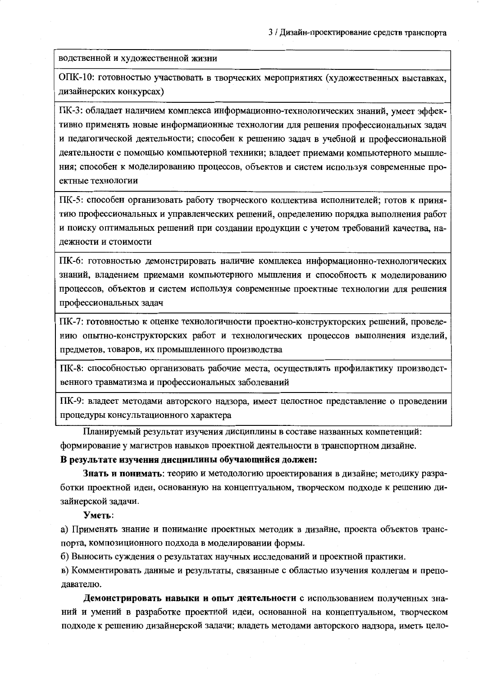водственной и художественной жизни

ОПК-10: готовностью участвовать в творческих мероприятиях (художественных выставках, дизайнерских конкурсах)

ПК-3: обладает наличием комплекса информационно-технологических знаний, умеет эффективно применять новые информационные технологии для решения профессиональных задач и педагогической деятельности; способен к решению задач в учебной и профессиональной деятельности с помощью компьютерной техники; владеет приемами компьютерного мышления; способен к моделированию процессов, объектов и систем используя современные проектные технологии

ПК-5: способен организовать работу творческого коллектива исполнителей; готов к принятию профессиональных и управленческих решений, определению порядка выполнения работ и поиску оптимальных решений при создании продукции с учетом требований качества, надежности и стоимости

ПК-6: готовностью демонстрировать наличие комплекса информационно-технологических знаний, владением приемами компьютерного мышления и способность к моделированию процессов, объектов и систем используя современные проектные технологии для решения профессиональных задач

ПК-7: готовностью к оценке технологичности проектно-конструкторских решений, проведению опытно-конструкторских работ и технологических процессов выполнения изделий, предметов, товаров, их промышленного производства

ПК-8: способностью организовать рабочие места, осуществлять профилактику производственного травматизма и профессиональных заболеваний

ПК-9: владеет методами авторского надзора, имеет целостное представление о проведении процедуры консультационного характера

Планируемый результат изучения дисциплины в составе названных компетенций: формирование у магистров навыков проектной деятельности в транспортном дизайне.

В результате изучения дисциплины обучающийся должен:

Знать и понимать: теорию и методологию проектирования в дизайне; методику разработки проектной идеи, основанную на концептуальном, творческом подходе к решению дизайнерской задачи.

Уметь:

а) Применять знание и понимание проектных методик в дизайне, проекта объектов транспорта, композиционного подхода в моделировании формы.

б) Выносить суждения о результатах научных исследований и проектной практики.

в) Комментировать данные и результаты, связанные с областью изучения коллегам и преподавателю.

Демонстрировать навыки и опыт деятельности с использованием полученных знаний и умений в разработке проектной идеи, основанной на концептуальном, творческом подходе к решению дизайнерской задачи; владеть методами авторского надзора, иметь цело-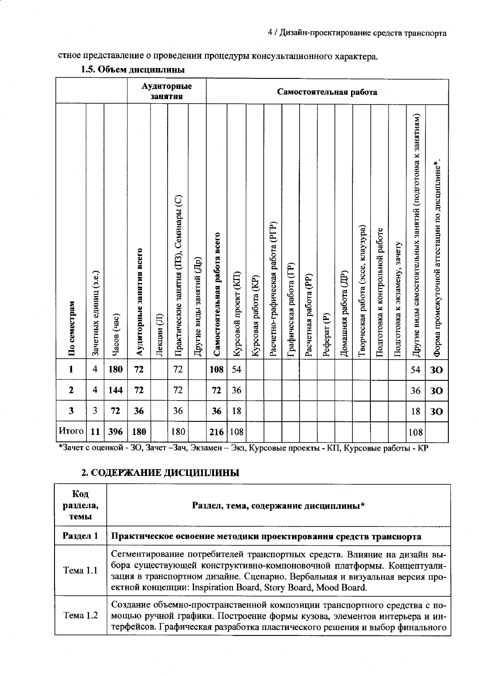## стное представление о проведении процедуры консультационного характера.

|                         |                        |             |                          | занятия    | Аудиторные                              |                          |                              | Самостоятельная работа |                      |                                   |                         |                       |                        |                      |                                    |                                 |                               |                                                             |                                                |
|-------------------------|------------------------|-------------|--------------------------|------------|-----------------------------------------|--------------------------|------------------------------|------------------------|----------------------|-----------------------------------|-------------------------|-----------------------|------------------------|----------------------|------------------------------------|---------------------------------|-------------------------------|-------------------------------------------------------------|------------------------------------------------|
| По семестрам            | Зачетных единиц (з.е.) | Часов (час) | Аудиторные занятия всего | Лекции (Л) | Практические занятия (ПЗ), Семинары (С) | Другие виды занятий (Др) | Самостоятельная работа всего | Курсовой проект (КП)   | Курсовая работа (KP) | Расчетно-графическая работа (PГР) | Графическая работа (ГР) | Расчетная работа (PP) | Pedepar <sub>(P)</sub> | Домашняя работа (ДР) | Творческая работа (эссе, клаузура) | Подготовка к контрольной работе | Подготовка к экзамену, зачету | Другие виды самостоятельных занятий (подготовка к занятиям) | Форма промежуточной аттестации по дисциплине*. |
| $\mathbf{1}$            | $\overline{4}$         | 180         | 72                       |            | 72                                      |                          | 108                          | 54                     |                      |                                   |                         |                       |                        |                      |                                    |                                 |                               | 54                                                          | 30                                             |
| $\mathbf{2}$            | $\overline{4}$         | 144         | 72                       |            | 72                                      |                          | 72                           | 36                     |                      |                                   |                         |                       |                        |                      |                                    |                                 |                               | 36                                                          | 30                                             |
| $\overline{\mathbf{3}}$ | 3                      | 72          | 36                       |            | 36                                      |                          | 36                           | 18                     |                      |                                   |                         |                       |                        |                      |                                    |                                 |                               | 18                                                          | 30                                             |
| Итого                   | 11                     | 396         | 180                      |            | 180                                     |                          | 216                          | 108                    |                      |                                   |                         |                       |                        |                      |                                    |                                 |                               | 108                                                         |                                                |

### 1.5. Объем дисциплины

\*Зачет с оценкой - 30, Зачет - Зач, Экзамен - Экз, Курсовые проекты - КП, Курсовые работы - КР

## 2. СОДЕРЖАНИЕ ДИСЦИПЛИНЫ

| Код<br>раздела,<br>темы | Раздел, тема, содержание дисциплины*                                                                                                                                                                                                                                                              |
|-------------------------|---------------------------------------------------------------------------------------------------------------------------------------------------------------------------------------------------------------------------------------------------------------------------------------------------|
| Раздел 1                | Практическое освоение методики проектирования средств транспорта                                                                                                                                                                                                                                  |
| Тема 1.1                | Сегментирование потребителей транспортных средств. Влияние на дизайн вы-<br>бора существующей конструктивно-компоновочной платформы. Концептуали-<br>зация в транспортном дизайне. Сценарио. Вербальная и визуальная версия про-<br>ектной концепции: Inspiration Board, Story Board, Mood Board. |
| Тема 1.2                | Создание объемно-пространственной композиции транспортного средства с по-<br>мощью ручной графики. Построение формы кузова, элементов интерьера и ин-<br>терфейсов. Графическая разработка пластического решения и выбор финального                                                               |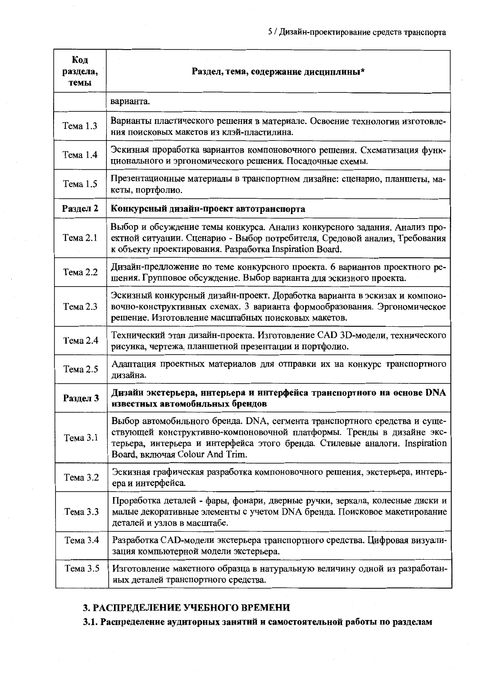| Код<br>раздела,<br>темы | Раздел, тема, содержание дисциплины*                                                                                                                                                                                                                                 |
|-------------------------|----------------------------------------------------------------------------------------------------------------------------------------------------------------------------------------------------------------------------------------------------------------------|
|                         | варианта.                                                                                                                                                                                                                                                            |
| Тема 1.3                | Варианты пластического решения в материале. Освоение технологии изготовле-<br>ния поисковых макетов из клэй-пластилина.                                                                                                                                              |
| Тема 1.4                | Эскизная проработка вариантов компоновочного решения. Схематизация функ-<br>ционального и эргономического решения. Посадочные схемы.                                                                                                                                 |
| Тема 1.5                | Презентационные материалы в транспортном дизайне: сценарио, планшеты, ма-<br>кеты, портфолио.                                                                                                                                                                        |
| Раздел 2                | Конкурсный дизайн-проект автотранспорта                                                                                                                                                                                                                              |
| Тема 2.1                | Выбор и обсуждение темы конкурса. Анализ конкурсного задания. Анализ про-<br>ектной ситуации. Сценарио - Выбор потребителя, Средовой анализ, Требования<br>к объекту проектирования. Разработка Inspiration Board.                                                   |
| Тема 2.2                | Дизайн-предложение по теме конкурсного проекта. 6 вариантов проектного ре-<br>шения. Групповое обсуждение. Выбор варианта для эскизного проекта.                                                                                                                     |
| Тема 2.3                | Эскизный конкурсный дизайн-проект. Доработка варианта в эскизах и компоно-<br>вочно-конструктивных схемах. 3 варианта формообразования. Эргономическое<br>решение. Изготовление масштабных поисковых макетов.                                                        |
| Тема 2.4                | Технический этап дизайн-проекта. Изготовление CAD 3D-модели, технического<br>рисунка, чертежа, планшетной презентации и портфолио.                                                                                                                                   |
| Тема 2.5                | Адаптация проектных материалов для отправки их на конкурс транспортного<br>дизайна.                                                                                                                                                                                  |
| Раздел 3                | Дизайн экстерьера, интерьера и интерфейса транспортного на основе DNA<br>известных автомобильных брендов                                                                                                                                                             |
| Тема 3.1                | Выбор автомобильного бренда. DNA, сегмента транспортного средства и суще-<br>ствующей конструктивно-компоновочной платформы. Тренды в дизайне экс-<br>терьера, интерьера и интерфейса этого бренда. Стилевые аналоги. Inspiration<br>Board, включая Colour And Trim. |
| Тема 3.2                | Эскизная графическая разработка компоновочного решения, экстерьера, интерь-<br>ера и интерфейса.                                                                                                                                                                     |
| Тема 3.3                | Проработка деталей - фары, фонари, дверные ручки, зеркала, колесные диски и<br>малые декоративные элементы с учетом DNA бренда. Поисковое макетирование<br>деталей и узлов в масштабе.                                                                               |
| Тема 3.4                | Разработка САD-модели экстерьера транспортного средства. Цифровая визуали-<br>зация компьютерной модели экстерьера.                                                                                                                                                  |
| Тема 3.5                | Изготовление макетного образца в натуральную величину одной из разработан-<br>ных деталей транспортного средства.                                                                                                                                                    |

### 3. РАСПРЕДЕЛЕНИЕ УЧЕБНОГО ВРЕМЕНИ

3.1. Распределение аудиторных занятни и самостоятельной работы по разделам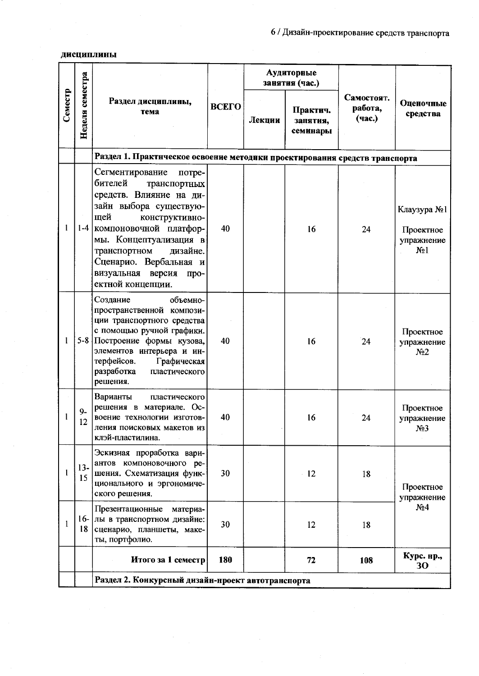### дисциплины

|              |                           |                                                                                                                                                                                                                                                                                                |              |        | Аудиторные<br>занятия (час.)     |                                 |                                                            |
|--------------|---------------------------|------------------------------------------------------------------------------------------------------------------------------------------------------------------------------------------------------------------------------------------------------------------------------------------------|--------------|--------|----------------------------------|---------------------------------|------------------------------------------------------------|
| Семестр      | Неделя семестра           | Раздел дисциплины,<br>тема                                                                                                                                                                                                                                                                     | <b>BCETO</b> | Лекции | Практич.<br>занятия,<br>семинары | Самостоят.<br>работа,<br>(час.) | Оценочные<br>средства                                      |
|              |                           | Раздел 1. Практнческое освоение методики проектирования средств транспорта                                                                                                                                                                                                                     |              |        |                                  |                                 |                                                            |
| 1            | $1-4$                     | Сегментирование<br>потре-<br>бителей<br>транспортных<br>средств. Влияние на ди-<br>зайн выбора существую-<br>щей<br>конструктивно-<br>компоновочной платфор-<br>мы. Концептуализация в<br>транспортном<br>дизайне.<br>Сценарио. Вербальная и<br>визуальная версия<br>про-<br>ектной концепции. | 40           |        | 16                               | 24                              | Клаузура №1<br>Проектное<br>упражнение<br>N <sub>2</sub> 1 |
|              | $5-8$                     | Создание<br>объемно-<br>пространственной компози-<br>ции транспортного средства<br>с помощью ручной графики.<br>Построение формы кузова,<br>элементов интерьера и ин-<br>терфейсов.<br>Графическая<br>разработка<br>пластического<br>решения.                                                  | 40           |        | 16                               | 24                              | Проектное<br>упражнение<br>N <sub>2</sub>                  |
|              | $9-$<br>$1^{\circ}$<br>14 | Варианты<br>пластического<br>решения в материале. Ос-<br>воение технологии изготов-<br>ления поисковых макетов из<br>клэй-пластилина.                                                                                                                                                          | 40           |        | 16                               | 24                              | Проектное<br>упражнение<br>N <sub>2</sub> 3                |
|              | $13-$<br>15               | Эскизная проработка вари-<br>антов компоновочного ре-<br>шения. Схематизация функ-<br>ционального и эргономиче-<br>ского решения.                                                                                                                                                              | 30           |        | 12                               | 18                              | Проектное<br>упражнение                                    |
| $\mathbf{1}$ | 18                        | Презентационные<br>материа-<br>16- лы в транспортном дизайне:<br>сценарио, планшеты, маке-<br>ты, портфолио.                                                                                                                                                                                   | 30           |        | 12                               | 18                              | N <sub>2</sub> 4                                           |
|              |                           | Итого за 1 семестр                                                                                                                                                                                                                                                                             | 180          |        | 72                               | 108                             | Курс. нр.,<br>30                                           |
|              |                           | Раздел 2. Конкурсный дизайн-нроект автотранспорта                                                                                                                                                                                                                                              |              |        |                                  |                                 |                                                            |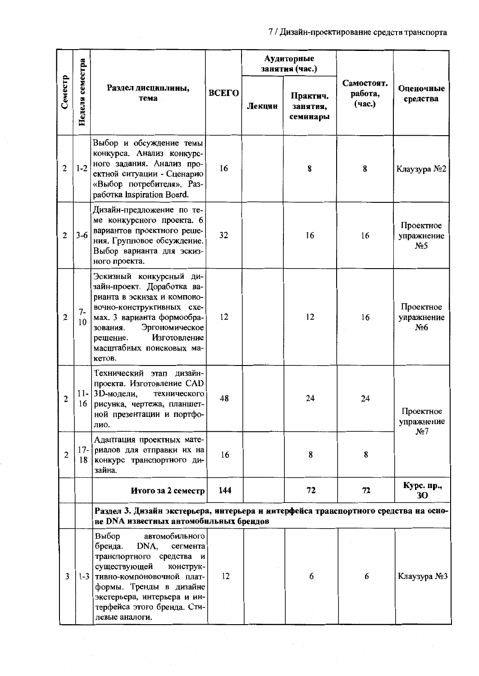|                |                 |                                                                                                                                                                                                                                                             |              |        | Аудиторные<br>занятия (час.)     |                                 |                                            |
|----------------|-----------------|-------------------------------------------------------------------------------------------------------------------------------------------------------------------------------------------------------------------------------------------------------------|--------------|--------|----------------------------------|---------------------------------|--------------------------------------------|
| Семестр        | Неделя семестра | Раздел дисциплины,<br>тема                                                                                                                                                                                                                                  | <b>BCETO</b> | Лекции | Практич.<br>занятия,<br>семинары | Самостоят.<br>работа,<br>(час.) | Оценочные<br>средства                      |
| $\overline{c}$ | $1 - 2$         | Выбор и обсуждение темы<br>конкурса. Анализ конкурс-<br>ного задания. Анализ про-<br>ектной ситуации - Сценарио<br>«Выбор потребителя». Раз-<br>paбorka Inspiration Board.                                                                                  | 16           |        | 8                                | 8                               | Клаузура №2                                |
| $\overline{2}$ | $3-6$           | Дизайн-предложение по те-<br>ме конкурсного проекта. 6<br>вариантов проектного реше-<br>ния. Групповое обсуждение.<br>Выбор варианта для эскиз-<br>ного проекта.                                                                                            | 32           |        | 16                               | 16                              | Проектное<br>упражнение<br>N <sub>25</sub> |
| $\mathbf{2}$   | $7-$<br>10      | Эскизный конкурсный ди-<br>зайн-проект. Доработка ва-<br>рианта в эскизах и компоно-<br>вочно-конструктивных схе-<br>мах. 3 варианта формообра-<br>Эргономическое<br>зования.<br>Изготовление<br>решение.<br>масштабных поисковых ма-<br>кетов.             | 12           |        | 12                               | 16                              | Проектное<br>упражнение<br>N <sub>26</sub> |
| 2              |                 | Технический этап дизайн-<br>проекта. Изготовление CAD<br>11-3 D-модели,<br>технического<br>16 рисунка, чертежа, планшет-<br>ной презентации и портфо-<br>лио.                                                                                               | 48           |        | 24                               | 24                              | Проектное<br>упражнение<br>N <sub>2</sub>  |
| $\overline{2}$ |                 | Адаптация проектных мате-<br>17- риалов для отправки их на<br>18 конкурс транспортного ди-<br>зайна.                                                                                                                                                        | 16           |        | 8                                | 8                               |                                            |
|                |                 | Итого за 2 семестр                                                                                                                                                                                                                                          | 144          |        | 72                               | 72                              | Курс. пр.,<br>30                           |
|                |                 | Раздел 3. Дизайн экстерьера, интерьера и интерфейса транспортного средства иа осно-<br>ве DNA известных автомобильных брендов                                                                                                                               |              |        |                                  |                                 |                                            |
| 3              |                 | автомобильного<br>Выбор<br>бренда.<br>DNA,<br>сегмента<br>транспортного средства и<br>существующей<br>конструк-<br>1-3 тивно-компоновочной плат-<br>формы. Тренды в дизайне<br>экстерьера, интерьера и ин-<br>терфейса этого бренда. Сти-<br>левые аналоги. | 12           |        | 6                                | 6                               | Клаузура №3                                |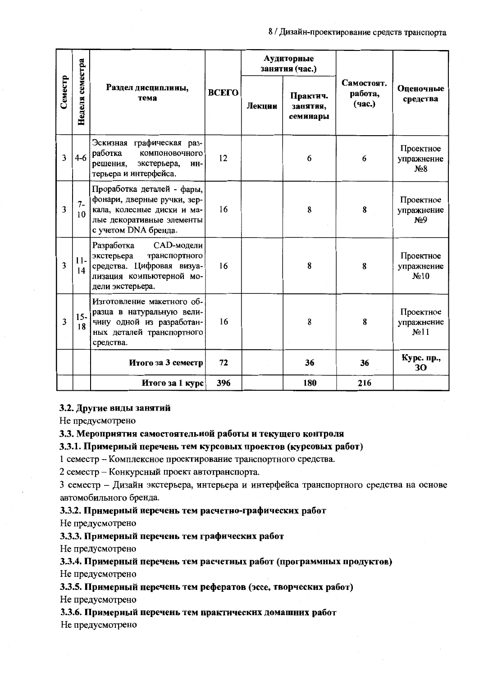|         |                    |                                                                                                                                              |       |        | Аудиторные<br>занятия (час.)     |                                 |                                              |
|---------|--------------------|----------------------------------------------------------------------------------------------------------------------------------------------|-------|--------|----------------------------------|---------------------------------|----------------------------------------------|
| Семестр | семестра<br>Неделя | Раздел дисциплины,<br>тема                                                                                                                   | ВСЕГО | Лекции | Практич.<br>занятия,<br>семинары | Самостоят.<br>работа,<br>(час.) | Оценочные<br>средства                        |
| 3       | $4-6$              | Эскизная графическая раз-<br>работка<br>компоновочного<br>решения,<br>экстерьера,<br>ИН-<br>терьера и интерфейса.                            | 12    |        | 6                                | 6                               | Проектное<br>упражнение<br>$N_28$            |
| 3       | $7 -$<br>10        | Проработка деталей - фары,<br>фонари, дверные ручки, зер-<br>кала, колесные диски и ма-<br>лые декоративные элементы<br>с учетом DNA бренда. | 16    |        | 8                                | 8                               | Проектное<br>упражнение<br>N <sub>2</sub> 9  |
| 3       | $11-$<br>14        | Разработка<br>САD-модели<br>экстерьера<br>транспортного<br>средства. Цифровая визуа-<br>лизация компьютерной мо-<br>дели экстерьера.         | 16    |        | 8                                | 8                               | Проектное<br>упражнение<br>N <sub>2</sub> 10 |
| 3       | $15 -$<br>18       | Изготовление макетного об-<br>разца в натуральную вели-<br>чину одной из разработан-<br>ных деталей транспортного<br>средства.               | 16    |        | 8                                | 8                               | Проектное<br>упражнение<br>N <sub>2</sub> 11 |
|         |                    | Итого за 3 семестр                                                                                                                           | 72    |        | 36                               | 36                              | Курс. пр.,<br>30                             |
|         |                    | Итого за 1 курс                                                                                                                              | 396   |        | 180                              | 216                             |                                              |

#### 3.2. Другие виды занятий

Не предусмотрено

#### 3.3. Мероприятия самостоятельной работы и текущего контроля

### 3.3.1. Примерный перечень тем курсовых проектов (курсовых работ)

1 семестр - Комплексное проектирование транспортного средства.

2 семестр – Конкурсный проект автотранспорта.

3 семестр - Дизайн экстерьера, интерьера и интерфейса транспортного средства на основе автомобильного бренда.

### 3.3.2. Примерный перечень тем расчетно-графических работ

Не предусмотрено

### 3.3.3. Примерный перечень тем графических работ

Не предусмотрено

#### 3.3.4. Примерный перечень тем расчетных работ (программных продуктов)

Не предусмотрено

3.3.5. Примерный перечень тем рефератов (эссе, творческих работ)

Не предусмотрено

3.3.6. Примерный перечень тем практических домашних работ

Не предусмотрено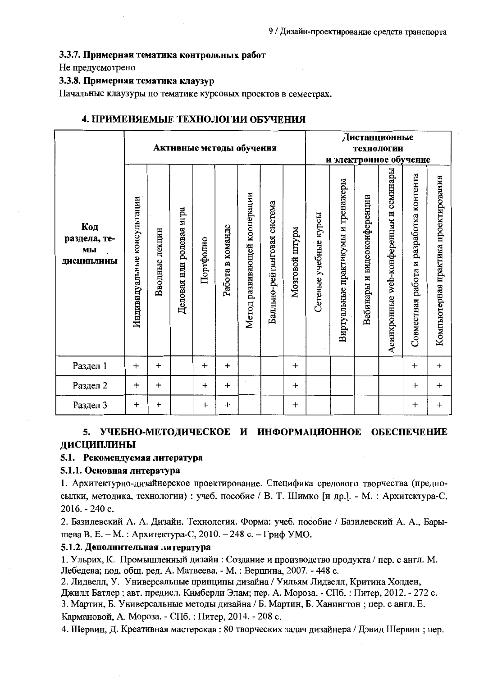#### 3.3.7. Примерная тематика контрольных работ

### Не предусмотрено

### 3.3.8. Примерная тематика клаузур

Начальные клаузуры по тематике курсовых проектов в семестрах.

|                                         |                             |                |                             |           |                  | Активные методы обучения     |                                |                     | Дистанционные<br><b>Технологии</b><br>и электронное обучение |                                    |                             |                                              |                                            |                                      |
|-----------------------------------------|-----------------------------|----------------|-----------------------------|-----------|------------------|------------------------------|--------------------------------|---------------------|--------------------------------------------------------------|------------------------------------|-----------------------------|----------------------------------------------|--------------------------------------------|--------------------------------------|
| Код<br>раздела, те-<br>МЫ<br>дисциплины | Индивидуальные консультации | Вводные лекции | игра<br>Деловая или ролевая | Портфолно | Работа в команде | Метод развивающей кооперации | система<br>Балльно-рейтинговая | mdALIII<br>Мозговой | Сетевые учебные курсы                                        | Виртуальные практикумы и тренажеры | Вебинары и видеоконференции | семинары<br>Ħ<br>Асинхронные web-конференции | разработка контента<br>Совместная работа и | Компьютерная практика проектирования |
| Раздел 1                                | $\ddot{}$                   | $\ddot{}$      |                             | $\ddag$   | $\ddot{}$        |                              |                                | $+$                 |                                                              |                                    |                             |                                              | $+$                                        | $\ddot{}$                            |
| Раздел 2                                | $+$                         | $\ddot{}$      |                             | $+$       | $\ddot{}$        |                              |                                | $\ddot{}$           |                                                              |                                    |                             |                                              | $\ddot{}$                                  | $\boldsymbol{+}$                     |
| Раздел 3                                | $\ddot{}$                   | $\ddot{}$      |                             | $\ddag$   | $\ddot{}$        |                              |                                | $\ddot{}$           |                                                              |                                    |                             |                                              | $\ddot{}$                                  | $\ddot{}$                            |

### 4. ПРИМЕНЯЕМЫЕ ТЕХНОЛОГИИ ОБУЧЕНИЯ

### 5. УЧЕБНО-МЕТОДИЧЕСКОЕ И ИНФОРМАЦИОННОЕ ОБЕСПЕЧЕНИЕ ДИСЦИПЛИНЫ

#### 5.1. Рекомендуемая литература

#### 5.1.1. Основная литература

1. Архитектурно-дизайнерское проектирование. Специфика средового творчества (предпосылки, методика, технологии) : учеб. пособие / В. Т. Шимко [и др.]. - М. : Архитектура-С, 2016. - 240 с.

2. Базилевский А. А. Дизайн. Технология. Форма: учеб. пособие / Базилевский А. А., Барышева В. Е. – М. : Архитектура-С, 2010. – 248 с. – Гриф УМО.

#### 5.1.2. Дополнительная литература

1. Ульрих, К. Промышленный дизайн: Создание и производство продукта / пер. с англ. М. Лебедева; под. общ. ред. А. Матвеева. - М. : Вершина, 2007. - 448 с.

2. Лидвелл, У. Универсальные принципы дизайна / Уильям Лидвелл, Критина Холден, Джилл Батлер; авт. предисл. Кимберли Элам; пер. А. Мороза. - СПб. : Питер, 2012. - 272 с. 3. Мартин, Б. Универсальные методы дизайна / Б. Мартин, Б. Ханингтон; пер. с англ. Е. Кармановой, А. Мороза. - СПб. : Питер, 2014. - 208 с.

4. Шервин, Д. Креативная мастерская: 80 творческих задач дизайнера / Дэвид Шервин; пер.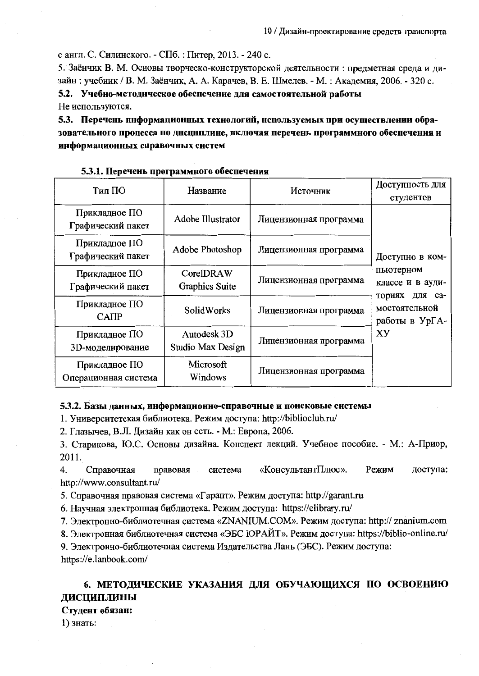с англ. С. Силинского. - СПб. : Питер, 2013. - 240 с.

5. Заёнчик В. М. Основы творческо-конструкторской деятельности: предметная среда и дизайн: учебник / В. М. Заёнчик, А. А. Карачев, В. Е. Шмелев. - М.: Академия, 2006. - 320 с. 5.2. Учебно-методнческое обеспечение для самостоятельной работы Не используются.

5.3. Перечень ннформационных технологий, используемых при осуществлении образовательного процесса по днецнплине, включая перечень программного обеспечения и информационных справочных систем

#### Доступность для Тип ПО Название Источник студентов Прикладное ПО Adobe Illustrator Лицензионная программа Графический пакет Прикладное ПО Adobe Photoshop Лицензионная программа Графический пакет Доступно в компьютерном CorelDRAW Прикладное ПО Лицензионная программа классе и в ауди-Graphics Suite Графический пакет ториях для са-Прикладное ПО мостоятельной **SolidWorks** Лицензионная программа **CATIP** работы в УрГА-XY Autodesk 3D Прикладное ПО Лицензионная программа **Studio Max Design** 3D-моделирование Microsoft Прикладное ПО Лицензионная программа Операционная система Windows

#### 5.3.1. Перечень программного обеспечения

### 5.3.2. Базы данных, информационно-справочные и поисковые системы

1. Университетская библиотека. Режим доступа: http://biblioclub.ru/

2. Глазычев, В.Л. Дизайн как он есть. - М.: Европа, 2006.

3. Старикова, Ю.С. Основы дизайна. Конспект лекций. Учебное пособие. - М.: А-Приор, 2011.

«КонсультантПлюс». Режим доступа: 4. Справочная правовая система http://www.consultant.ru/

5. Справочная правовая система «Гарант». Режим доступа: http://garant.ru

6. Научная электронная библиотека. Режим доступа: https://elibrary.ru/

7. Электронно-библиотечная система «ZNANIUM.COM». Режим доступа: http:// znanium.com

8. Электронная библиотечная система «ЭБС ЮРАЙТ». Режим доступа: https://biblio-online.ru/

9. Электронно-библиотечная система Издательства Лань (ЭБС). Режим доступа: https://e.lanbook.com/

### 6. МЕТОДИЧЕСКИЕ УКАЗАНИЯ ДЛЯ ОБУЧАЮЩИХСЯ ПО ОСВОЕНИЮ ДИСЦИПЛИНЫ

#### Студент обязан:

1) знать: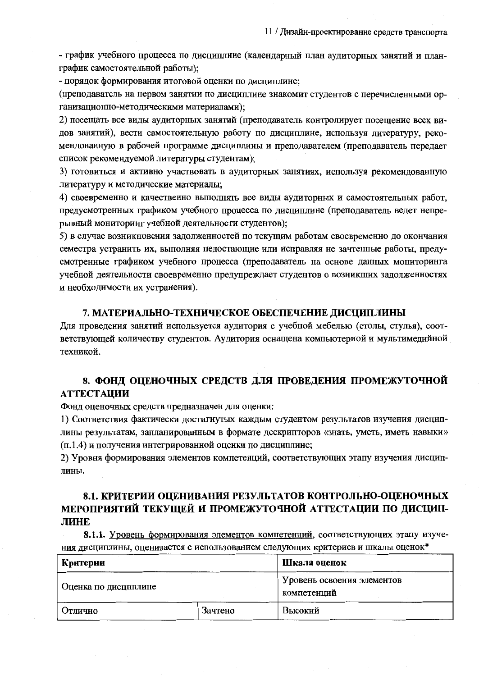- график учебного процесса по дисциплине (календарный план аудиторных занятий и планграфик самостоятельной работы);

- порядок формирования итоговой оценки по дисциплине;

(преподаватель на первом занятии по дисциплине знакомит студентов с перечисленными организационно-методическими материалами);

2) посещать все виды аудиторных занятий (преподаватель контролирует посещение всех видов занятий), вести самостоятельную работу по дисциплине, используя литературу, рекомендованную в рабочей программе дисциплины и преподавателем (преподаватель передает список рекомендуемой литературы студентам);

3) готовиться и активно участвовать в аудиторных занятиях, используя рекомендованную литературу и методические материалы;

4) своевременно и качественно выполнять все виды аудиторных и самостоятельных работ, предусмотренных графиком учебного процесса по дисциплине (преподаватель ведет непрерывный мониторинг vчебной деятельности студентов);

5) в случае возникновения задолженностей по текущим работам своевременно до окончания семестра устранить их, выполняя недостающие или исправляя не зачтенные работы, предусмотренные графиком учебного процесса (преподаватель на основе данных мониторинга учебной деятельности своевременно предупреждает студентов о возникших задолженностях и необходимости их устранения).

#### 7. МАТЕРИАЛЬНО-ТЕХНИЧЕСКОЕ ОБЕСПЕЧЕНИЕ ДИСЦИПЛИНЫ

Для проведения занятий используется аудитория с учебной мебелью (столы, стулья), соответствующей количеству студентов. Аудитория оснащена компьютерной и мультимедийной техникой.

### 8. ФОНД ОЦЕНОЧНЫХ СРЕДСТВ ДЛЯ ПРОВЕДЕНИЯ ПРОМЕЖУТОЧНОЙ **АТТЕСТАЦИИ**

Фонд оценочных средств предназначен для оценки:

1) Соответствия фактически достигнутых каждым студентом результатов изучения дисциплины результатам, запланированным в формате дескрипторов «знать, уметь, иметь навыки» (п.1.4) и получения интегрированной оценки по дисциплине;

2) Уровня формирования элементов компетенций, соответствующих этапу изучения дисциплины.

### 8.1. КРИТЕРИИ ОЦЕНИВАНИЯ РЕЗУЛЬТАТОВ КОНТРОЛЬНО-ОЦЕНОЧНЫХ МЕРОПРИЯТИЙ ТЕКУЩЕЙ И ПРОМЕЖУТОЧНОЙ АТТЕСТАЦИИ ПО ДИСЦИП-ЛИНЕ

8.1.1. Уровень формирования элементов компетенций, соответствующих этапу изучения дисциплины, оценивается с использованием следующих критериев и шкалы оценок\*

| Критерии             | Шкала оценок |                                           |  |  |
|----------------------|--------------|-------------------------------------------|--|--|
| Оценка по дисциплине |              | Уровень освоения элементов<br>компетенций |  |  |
| I Отлично            | Зачтено      | Высокий                                   |  |  |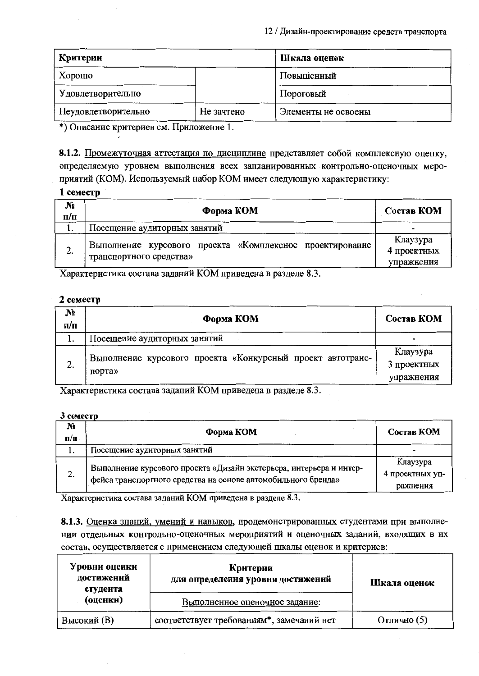| Критерии            |            | Шкала оценок        |
|---------------------|------------|---------------------|
| Хорошо              |            | Повышенный          |
| Удовлетворительно   |            | Пороговый           |
| Неудовлетворительно | Не зачтено | Элементы не освоены |

\*) Описание критериев см. Приложение 1.

8.1.2. Промежуточная аттестация по дисциплине представляет собой комплексную оценку, определяемую уровнем выполнения всех запланированных контрольно-оценочных мероприятий (КОМ). Используемый набор КОМ имеет следующую характеристику:

### 1 семестр

| N <sub>2</sub><br>$\Pi/\Pi$ | Форма КОМ                                                                           | Состав КОМ                            |
|-----------------------------|-------------------------------------------------------------------------------------|---------------------------------------|
| 1.                          | Посещение аудиторных занятий                                                        | -                                     |
| 2.                          | Выполнение курсового проекта «Комплексное проектирование<br>транспортного средства» | Клаузура<br>4 проектных<br>упражнения |

Характеристика состава заданий КОМ приведена в разделе 8.3.

### 2 семестр

| $N_2$<br>n/п | Форма КОМ                                                            | Состав КОМ                            |
|--------------|----------------------------------------------------------------------|---------------------------------------|
| 1.           | Посещение аудиторных занятий                                         | $\overline{\phantom{0}}$              |
| 2.           | Выполнение курсового проекта «Конкурсный проект автотранс-<br>порта» | Клаузура<br>3 проектных<br>упражнения |

Характеристика состава заданий КОМ приведена в разделе 8.3.

#### 3 семестр

| N <sub>2</sub><br>$\mathbf{u}/\mathbf{n}$ | Форма КОМ                                                                                                                            | Состав КОМ                              |
|-------------------------------------------|--------------------------------------------------------------------------------------------------------------------------------------|-----------------------------------------|
|                                           | Посещение аудиторных занятий                                                                                                         |                                         |
| 2.                                        | Выполнение курсового проекта «Дизайн экстерьера, интерьера и интер-<br>фейса транспортного средства на основе автомобильного бренда» | Клаузура<br>4 проектных уп-<br>ражнения |

Характеристика состава заданий КОМ приведена в разделе 8.3.

8.1.3. Оценка знаний, умений и навыков, продемонстрированных студентами при выполнении отдельных контрольно-оценочных мероприятий и оценочных заданий, входящих в их состав, осуществляется с применением следующей шкалы оценок и критериев:

| Уровни оценки<br>достижений<br>студента | Критерии<br>для определения уровня достижений | Шкала оценок |
|-----------------------------------------|-----------------------------------------------|--------------|
| (оценки)                                | Выполненное оценочное задание:                |              |
| Высокий (В)                             | соответствует требованиям*, замечаний нет     | Отлично (5)  |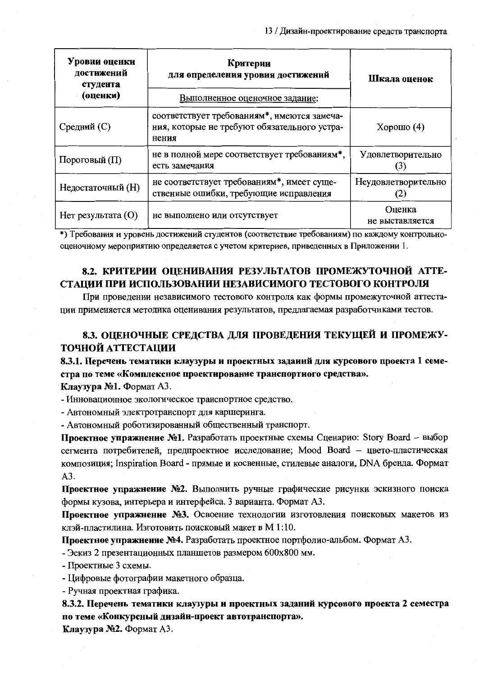| Уровни оценки<br>достижений<br>студента | Критерии<br>для определения уровия достижений                                                        | Шкала оценок              |  |
|-----------------------------------------|------------------------------------------------------------------------------------------------------|---------------------------|--|
| (оценки)                                | Выполненное оценочное задание:                                                                       |                           |  |
| Средний (С)                             | соответствует требованиям*, имеются замеча-<br>ния, которые не требуют обязательного устра-<br>нения | Хорошо $(4)$              |  |
| Пороговый $(\Pi)$                       | не в полной мере соответствует требованиям*,<br>есть замечания                                       | Удовлетворительно         |  |
| Недостаточный (H)                       | не соответствует требованиям*, имеет суще-<br>ственные ошибки, требующие исправления                 | Неудовлетворительно       |  |
| Нет результата (O)                      | не выполнено или отсутствует                                                                         | Оценка<br>не выставляется |  |

\*) Требования и уровень достижений студентов (соответствие требованиям) по каждому контрольнооценочному мероприятию определяется с учетом критериев, приведенных в Приложении 1.

### 8.2. КРИТЕРИИ ОЦЕНИВАНИЯ РЕЗУЛЬТАТОВ ПРОМЕЖУТОЧНОЙ АТТЕ-СТАЦИИ ПРИ ИСПОЛЬЗОВАНИИ НЕЗАВИСИМОГО ТЕСТОВОГО КОНТРОЛЯ

При проведении независимого тестового контроля как формы промежуточной аттестации применяется методика оценивания результатов, предлагаемая разработчиками тестов.

### 8.3. ОЦЕНОЧНЫЕ СРЕДСТВА ДЛЯ ПРОВЕДЕНИЯ ТЕКУЩЕЙ И ПРОМЕЖУ-ТОЧНОЙ АТТЕСТАЦИИ

### 8.3.1. Перечень тематики клаузуры и проектных заданий для курсового проекта 1 семестра по теме «Комплексное проектирование транспортиого средства».

Клаузура №1. Формат А3.

- Инновационное экологическое транспортное средство.

- Автономный электротранспорт для каршеринга.

- Автономный роботизированный общественный транспорт.

Проектное упражнение №1. Разработать проектные схемы Сценарио: Story Board - выбор сегмента потребителей, предпроектное исследование; Mood Board - цвето-пластическая композиция; Inspiration Board - прямые и косвенные, стилевые аналоги, DNA бренда. Формат  $A3.$ 

Проектное упражнение №2. Выполнить ручные графические рисунки эскизного поиска формы кузова, интерьера и интерфейса. 3 варианта. Формат А3.

Проектное упражнение №3. Освоение технологии изготовления поисковых макетов из клэй-пластилина. Изготовить поисковый макет в М 1:10.

Проектное упражнение №4. Разработать проектное портфолио-альбом. Формат А3.

- Эскиз 2 презентационных планшетов размером 600х800 мм.

- Проектные 3 схемы.

- Цифровые фотографии макетного образца.

- Ручная проектная графика.

8.3.2. Перечень тематики клаузуры и проектных заданий курсового проекта 2 семестра по теме «Конкурсный дизайи-проект автотранспорта».

Клаузура №2. Формат А3.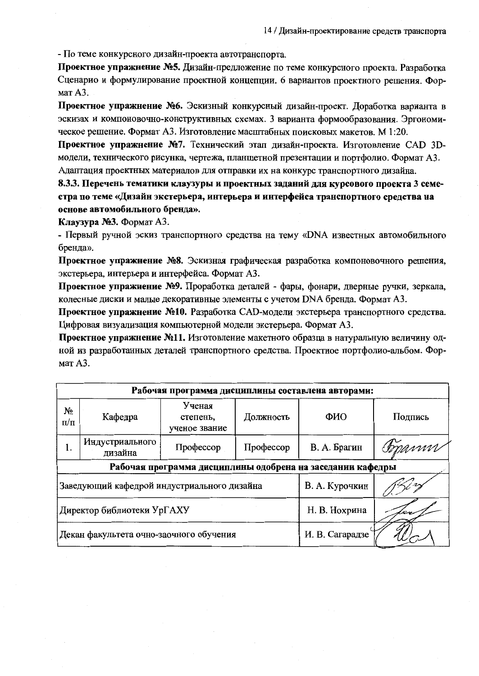- По теме конкурсного дизайн-проекта автотранспорта.

Проектное упражнение №5. Дизайн-предложение по теме конкурсного проекта. Разработка Сценарио и формулирование проектной концепции. 6 вариантов проектного решения. Формат А3.

Проектное упражнение №6. Эскизный конкурсный дизайн-проект. Доработка варианта в эскизах и компоновочно-конструктивных схемах. 3 варианта формообразования. Эргономическое решение. Формат А3. Изготовление масштабных поисковых макетов. М 1:20.

Проектное упражнение №7. Технический этап дизайн-проекта. Изготовление САD 3Dмодели, технического рисунка, чертежа, планшетной презентации и портфолио. Формат А3. Адаптация проектных материалов для отправки их на конкурс транспортного дизайна.

8.3.3. Перечень тематики клаузуры и проектных заданий для курсового проекта 3 семестра по теме «Дизайн экстерьера, интерьера и интерфейса транспортного средства на основе автомобильного бренда».

Клаузура №3. Формат А3.

- Первый ручной эскиз транспортного средства на тему «DNA известных автомобильного бренда».

Проектное упражнение №8. Эскизная графическая разработка компоновочного решения, экстерьера, интерьера и интерфейса. Формат АЗ.

Проектное упражнение №9. Проработка деталей - фары, фонари, дверные ручки, зеркала, колесные диски и малые декоративные элементы с учетом DNA бренда. Формат А3.

Проектное упражнение №10. Разработка САD-модели экстерьера транспортного средства. Цифровая визуализация компьютерной модели экстерьера. Формат А3.

Проектное упражнение №11. Изготовление макетного образца в натуральную величину одной из разработанных деталей транспортного средства. Проектное портфолио-альбом. Формат А3.

| Рабочая программа дисциплины составлена авторами:          |                            |                                     |                 |                |          |
|------------------------------------------------------------|----------------------------|-------------------------------------|-----------------|----------------|----------|
| No<br>п/п                                                  | Кафедра                    | Ученая<br>степень,<br>ученое звание | Должность       | ФИО            | Подпись  |
| 1.                                                         | Индустриального<br>дизайна | Профессор                           | Профессор       | В. А. Брагин   | Gopanny. |
| Рабочая программа дисциплины одобрена на заседании кафедры |                            |                                     |                 |                |          |
| Заведующий кафедрой индустриального дизайна                |                            |                                     |                 | В. А. Курочкин |          |
| Директор библиотеки УрГАХУ                                 |                            |                                     |                 | Н. В. Нохрина  |          |
| Декан факультета очно-заочного обучения                    |                            |                                     | И. В. Сагарадзе |                |          |